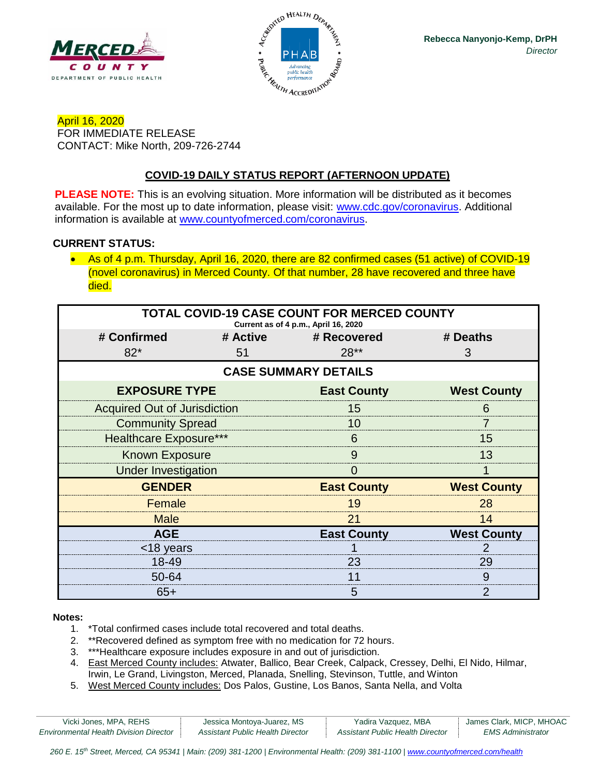



April 16, 2020 FOR IMMEDIATE RELEASE CONTACT: Mike North, 209-726-2744

# **COVID-19 DAILY STATUS REPORT (AFTERNOON UPDATE)**

**PLEASE NOTE:** This is an evolving situation. More information will be distributed as it becomes available. For the most up to date information, please visit: [www.cdc.gov/coronavirus.](http://www.cdc.gov/coronavirus) Additional information is available at [www.countyofmerced.com/coronavirus.](http://www.countyofmerced.com/coronavirus)

#### **CURRENT STATUS:**

• As of 4 p.m. Thursday, April 16, 2020, there are 82 confirmed cases (51 active) of COVID-19 (novel coronavirus) in Merced County. Of that number, 28 have recovered and three have died.

| <b>TOTAL COVID-19 CASE COUNT FOR MERCED COUNTY</b><br>Current as of 4 p.m., April 16, 2020 |    |                      |                    |  |  |
|--------------------------------------------------------------------------------------------|----|----------------------|--------------------|--|--|
| # Confirmed                                                                                |    | # Active # Recovered | # Deaths           |  |  |
| $82*$                                                                                      | 51 | $28**$               | 3                  |  |  |
| <b>CASE SUMMARY DETAILS</b>                                                                |    |                      |                    |  |  |
| <b>EXPOSURE TYPE</b>                                                                       |    | <b>East County</b>   | <b>West County</b> |  |  |
| <b>Acquired Out of Jurisdiction</b>                                                        |    | 15                   | 6                  |  |  |
| <b>Community Spread</b>                                                                    |    | 10                   |                    |  |  |
| <b>Healthcare Exposure***</b>                                                              |    | 6                    | 15                 |  |  |
| <b>Known Exposure</b>                                                                      |    | 9                    | 13                 |  |  |
| <b>Under Investigation</b>                                                                 |    | O                    |                    |  |  |
| <b>GENDER</b>                                                                              |    | <b>East County</b>   | <b>West County</b> |  |  |
| Female                                                                                     |    | 19                   | 28                 |  |  |
| <b>Male</b>                                                                                |    | 21                   | 14                 |  |  |
| <b>AGE</b>                                                                                 |    | <b>East County</b>   | <b>West County</b> |  |  |
| <18 years                                                                                  |    |                      |                    |  |  |
| 18-49                                                                                      |    | 23                   | 29                 |  |  |
| 50-64                                                                                      |    | 11                   | 9                  |  |  |
| $65+$                                                                                      |    | 5                    | 2                  |  |  |

#### **Notes:**

- 1. \*Total confirmed cases include total recovered and total deaths.
- 2. \*\*Recovered defined as symptom free with no medication for 72 hours.
- 3. \*\*\*Healthcare exposure includes exposure in and out of jurisdiction.
- 4. East Merced County includes: Atwater, Ballico, Bear Creek, Calpack, Cressey, Delhi, El Nido, Hilmar, Irwin, Le Grand, Livingston, Merced, Planada, Snelling, Stevinson, Tuttle, and Winton
- 5. West Merced County includes: Dos Palos, Gustine, Los Banos, Santa Nella, and Volta

| Vicki Jones, MPA, REHS                        | Jessica Montoya-Juarez, MS       | Yadira Vazquez, MBA              | James Clark, MICP, MHOAC |
|-----------------------------------------------|----------------------------------|----------------------------------|--------------------------|
| <b>Environmental Health Division Director</b> | Assistant Public Health Director | Assistant Public Health Director | <b>EMS</b> Administrator |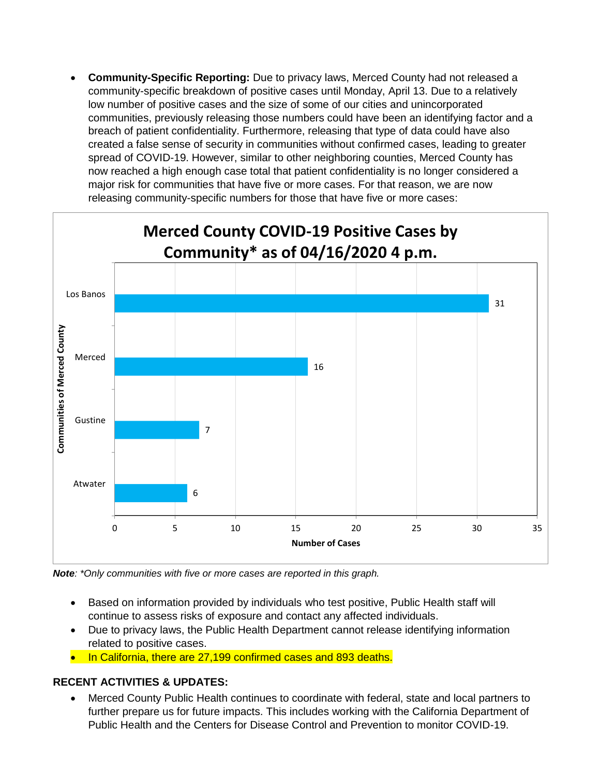• **Community-Specific Reporting:** Due to privacy laws, Merced County had not released a community-specific breakdown of positive cases until Monday, April 13. Due to a relatively low number of positive cases and the size of some of our cities and unincorporated communities, previously releasing those numbers could have been an identifying factor and a breach of patient confidentiality. Furthermore, releasing that type of data could have also created a false sense of security in communities without confirmed cases, leading to greater spread of COVID-19. However, similar to other neighboring counties, Merced County has now reached a high enough case total that patient confidentiality is no longer considered a major risk for communities that have five or more cases. For that reason, we are now releasing community-specific numbers for those that have five or more cases:



*Note: \*Only communities with five or more cases are reported in this graph.*

- Based on information provided by individuals who test positive, Public Health staff will continue to assess risks of exposure and contact any affected individuals.
- Due to privacy laws, the Public Health Department cannot release identifying information related to positive cases.
- In California, there are 27,199 confirmed cases and 893 deaths.

## **RECENT ACTIVITIES & UPDATES:**

• Merced County Public Health continues to coordinate with federal, state and local partners to further prepare us for future impacts. This includes working with the California Department of Public Health and the Centers for Disease Control and Prevention to monitor COVID-19.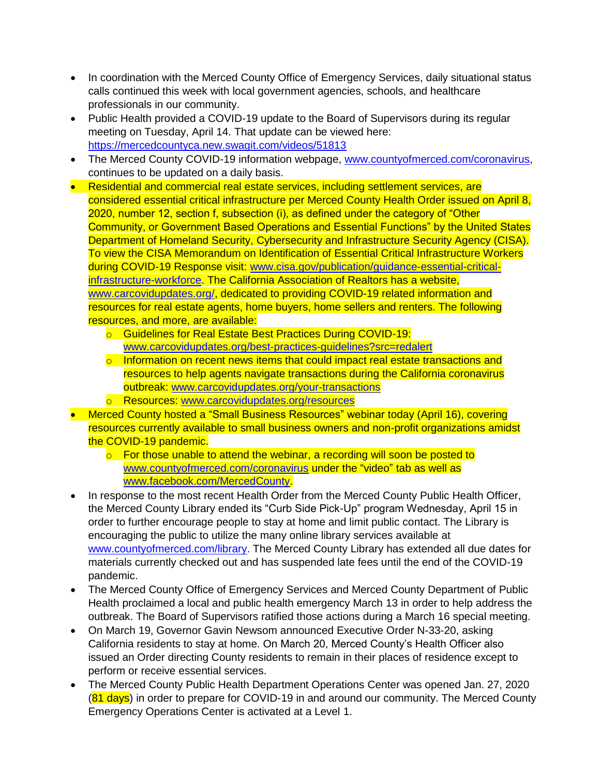- In coordination with the Merced County Office of Emergency Services, daily situational status calls continued this week with local government agencies, schools, and healthcare professionals in our community.
- Public Health provided a COVID-19 update to the Board of Supervisors during its regular meeting on Tuesday, April 14. That update can be viewed here: <https://mercedcountyca.new.swagit.com/videos/51813>
- The Merced County COVID-19 information webpage, [www.countyofmerced.com/coronavirus,](http://www.countyofmerced.com/coronavirus) continues to be updated on a daily basis.
- Residential and commercial real estate services, including settlement services, are considered essential critical infrastructure per Merced County Health Order issued on April 8, 2020, number 12, section f, subsection (i), as defined under the category of "Other Community, or Government Based Operations and Essential Functions" by the United States Department of Homeland Security, Cybersecurity and Infrastructure Security Agency (CISA). To view the CISA Memorandum on Identification of Essential Critical Infrastructure Workers during COVID-19 Response visit: [www.cisa.gov/publication/guidance-essential-critical](http://www.cisa.gov/publication/guidance-essential-critical-infrastructure-workforce)[infrastructure-workforce.](http://www.cisa.gov/publication/guidance-essential-critical-infrastructure-workforce) The California Association of Realtors has a website, [www.carcovidupdates.org/,](http://www.carcovidupdates.org/) dedicated to providing COVID-19 related information and resources for real estate agents, home buyers, home sellers and renters. The following resources, and more, are available:
	- o Guidelines for Real Estate Best Practices During COVID-19: [www.carcovidupdates.org/best-practices-guidelines?src=redalert](http://www.carcovidupdates.org/best-practices-guidelines?src=redalert)
	- o Information on recent news items that could impact real estate transactions and resources to help agents navigate transactions during the California coronavirus outbreak: [www.carcovidupdates.org/your-transactions](http://www.carcovidupdates.org/your-transactions)
	- o Resources: [www.carcovidupdates.org/resources](http://www.carcovidupdates.org/resources)
- Merced County hosted a "Small Business Resources" webinar today (April 16), covering resources currently available to small business owners and non-profit organizations amidst the COVID-19 pandemic.
	- $\circ$  For those unable to attend the webinar, a recording will soon be posted to [www.countyofmerced.com/coronavirus](http://www.countyofmerced.com/coronavirus) under the "video" tab as well as [www.facebook.com/MercedCounty.](http://www.facebook.com/MercedCounty)
- In response to the most recent Health Order from the Merced County Public Health Officer, the Merced County Library ended its "Curb Side Pick-Up" program Wednesday, April 15 in order to further encourage people to stay at home and limit public contact. The Library is encouraging the public to utilize the many online library services available at [www.countyofmerced.com/library.](http://www.countyofmerced.com/library) The Merced County Library has extended all due dates for materials currently checked out and has suspended late fees until the end of the COVID-19 pandemic.
- The Merced County Office of Emergency Services and Merced County Department of Public Health proclaimed a local and public health emergency March 13 in order to help address the outbreak. The Board of Supervisors ratified those actions during a March 16 special meeting.
- On March 19, Governor Gavin Newsom announced Executive Order N-33-20, asking California residents to stay at home. On March 20, Merced County's Health Officer also issued an Order directing County residents to remain in their places of residence except to perform or receive essential services.
- The Merced County Public Health Department Operations Center was opened Jan. 27, 2020  $(81 \text{ days})$  in order to prepare for COVID-19 in and around our community. The Merced County Emergency Operations Center is activated at a Level 1.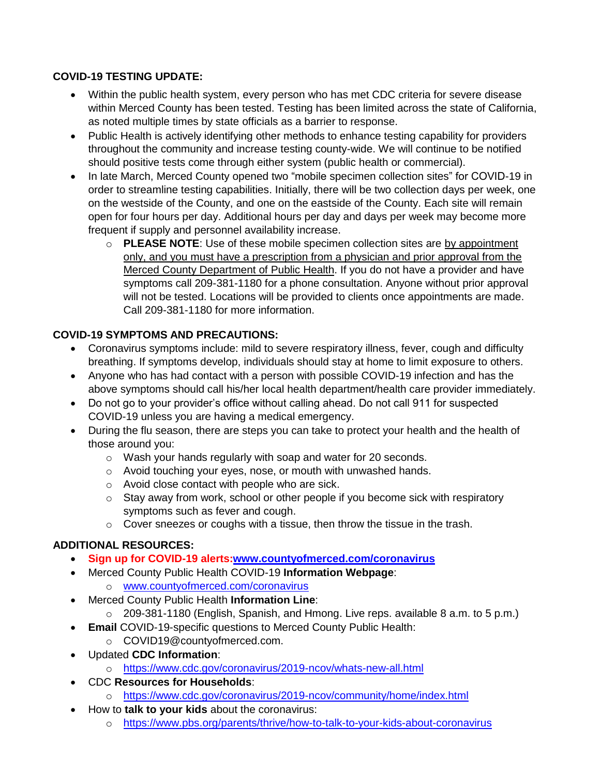#### **COVID-19 TESTING UPDATE:**

- Within the public health system, every person who has met CDC criteria for severe disease within Merced County has been tested. Testing has been limited across the state of California, as noted multiple times by state officials as a barrier to response.
- Public Health is actively identifying other methods to enhance testing capability for providers throughout the community and increase testing county-wide. We will continue to be notified should positive tests come through either system (public health or commercial).
- In late March, Merced County opened two "mobile specimen collection sites" for COVID-19 in order to streamline testing capabilities. Initially, there will be two collection days per week, one on the westside of the County, and one on the eastside of the County. Each site will remain open for four hours per day. Additional hours per day and days per week may become more frequent if supply and personnel availability increase.
	- o **PLEASE NOTE**: Use of these mobile specimen collection sites are by appointment only, and you must have a prescription from a physician and prior approval from the Merced County Department of Public Health. If you do not have a provider and have symptoms call 209-381-1180 for a phone consultation. Anyone without prior approval will not be tested. Locations will be provided to clients once appointments are made. Call 209-381-1180 for more information.

## **COVID-19 SYMPTOMS AND PRECAUTIONS:**

- Coronavirus symptoms include: mild to severe respiratory illness, fever, cough and difficulty breathing. If symptoms develop, individuals should stay at home to limit exposure to others.
- Anyone who has had contact with a person with possible COVID-19 infection and has the above symptoms should call his/her local health department/health care provider immediately.
- Do not go to your provider's office without calling ahead. Do not call 911 for suspected COVID-19 unless you are having a medical emergency.
- During the flu season, there are steps you can take to protect your health and the health of those around you:
	- o Wash your hands regularly with soap and water for 20 seconds.
	- o Avoid touching your eyes, nose, or mouth with unwashed hands.
	- o Avoid close contact with people who are sick.
	- o Stay away from work, school or other people if you become sick with respiratory symptoms such as fever and cough.
	- $\circ$  Cover sneezes or coughs with a tissue, then throw the tissue in the trash.

## **ADDITIONAL RESOURCES:**

- **Sign up for COVID-19 alerts[:www.countyofmerced.com/coronavirus](http://www.countyofmerced.com/coronavirus)**
- Merced County Public Health COVID-19 **Information Webpage**:
	- o [www.countyofmerced.com/coronavirus](http://www.countyofmerced.com/coronavirus)
- Merced County Public Health **Information Line**:
	- o 209-381-1180 (English, Spanish, and Hmong. Live reps. available 8 a.m. to 5 p.m.)
	- **Email COVID-19-specific questions to Merced County Public Health:** 
		- o COVID19@countyofmerced.com.
- Updated **CDC Information**:
	- o <https://www.cdc.gov/coronavirus/2019-ncov/whats-new-all.html>
- CDC **Resources for Households**:
	- o <https://www.cdc.gov/coronavirus/2019-ncov/community/home/index.html>
- How to **talk to your kids** about the coronavirus:
	- o <https://www.pbs.org/parents/thrive/how-to-talk-to-your-kids-about-coronavirus>